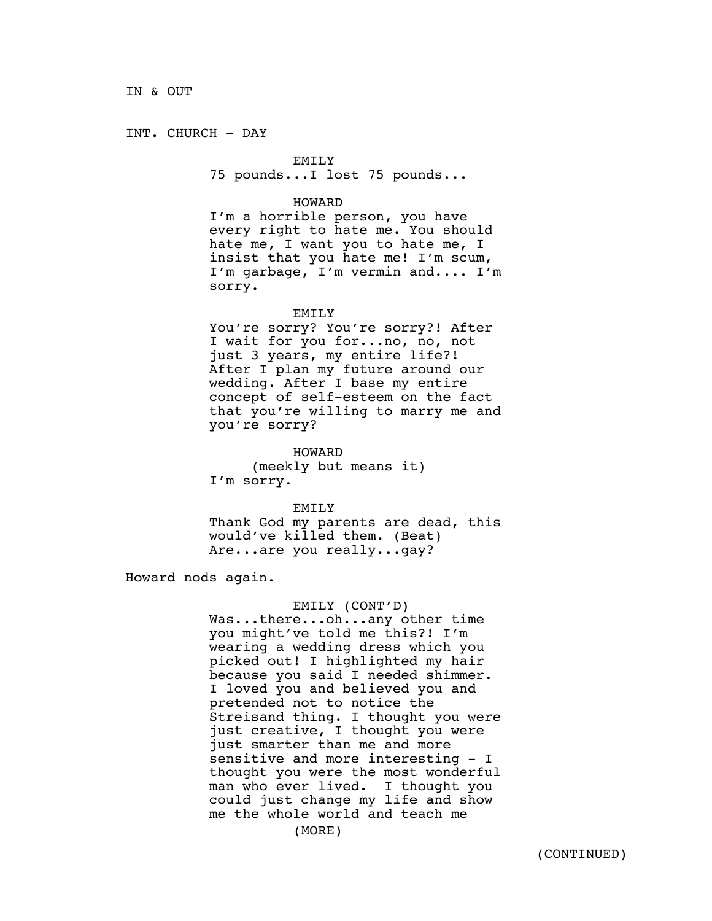INT. CHURCH - DAY

## EMILY

75 pounds...I lost 75 pounds...

## HOWARD

I'm a horrible person, you have every right to hate me. You should hate me, I want you to hate me, I insist that you hate me! I'm scum, I'm garbage, I'm vermin and.... I'm sorry.

#### EMILY

You're sorry? You're sorry?! After I wait for you for...no, no, not just 3 years, my entire life?! After I plan my future around our wedding. After I base my entire concept of self-esteem on the fact that you're willing to marry me and you're sorry?

HOWARD

(meekly but means it) I'm sorry.

EMILY

Thank God my parents are dead, this would've killed them. (Beat) Are...are you really...gay?

Howard nods again.

### EMILY (CONT'D)

Was...there...oh...any other time you might've told me this?! I'm wearing a wedding dress which you picked out! I highlighted my hair because you said I needed shimmer. I loved you and believed you and pretended not to notice the Streisand thing. I thought you were just creative, I thought you were just smarter than me and more sensitive and more interesting - I thought you were the most wonderful man who ever lived. I thought you could just change my life and show me the whole world and teach me

(MORE)

 $\frac{1}{2}$  and  $\frac{1}{2}$  are  $\frac{1}{2}$  and  $\frac{1}{2}$  are  $\frac{1}{2}$  and  $\frac{1}{2}$  are  $\frac{1}{2}$  and  $\frac{1}{2}$  are  $\frac{1}{2}$  and  $\frac{1}{2}$  are  $\frac{1}{2}$  and  $\frac{1}{2}$  are  $\frac{1}{2}$  and  $\frac{1}{2}$  are  $\frac{1}{2}$  and  $\frac{1}{2}$  a